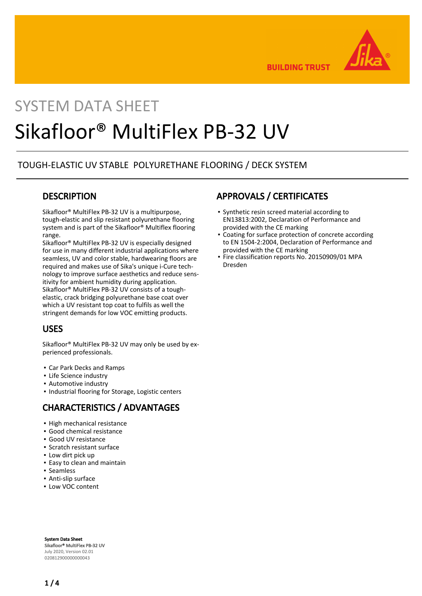

**BUILDING TRUST** 

# SYSTEM DATA SHEET Sikafloor® MultiFlex PB-32 UV

### TOUGH-ELASTIC UV STABLE POLYURETHANE FLOORING / DECK SYSTEM

### **DESCRIPTION**

Sikafloor® MultiFlex PB-32 UV is a multipurpose, tough-elastic and slip resistant polyurethane flooring system and is part of the Sikafloor® Multiflex flooring range.

Sikafloor® MultiFlex PB-32 UV is especially designed for use in many different industrial applications where seamless, UV and color stable, hardwearing floors are required and makes use of Sika's unique i-Cure technology to improve surface aesthetics and reduce sensitivity for ambient humidity during application. Sikafloor® MultiFlex PB-32 UV consists of a toughelastic, crack bridging polyurethane base coat over which a UV resistant top coat to fulfils as well the stringent demands for low VOC emitting products.

### USES

Sikafloor® MultiFlex PB-32 UV may only be used by experienced professionals.

- Car Park Decks and Ramps
- **·** Life Science industry
- **Automotive industry**
- Industrial flooring for Storage, Logistic centers

### CHARACTERISTICS / ADVANTAGES

- High mechanical resistance
- Good chemical resistance
- Good UV resistance
- Scratch resistant surface
- Low dirt pick up
- Easy to clean and maintain
- Seamless
- Anti-slip surface
- Low VOC content

### APPROVALS / CERTIFICATES

- Synthetic resin screed material according to EN13813:2002, Declaration of Performance and provided with the CE marking
- Coating for surface protection of concrete according to EN 1504-2:2004, Declaration of Performance and provided with the CE marking
- Fire classification reports No. 20150909/01 MPA Dresden

System Data Sheet Sikafloor® MultiFlex PB-32 UV July 2020, Version 02.01 020812900000000043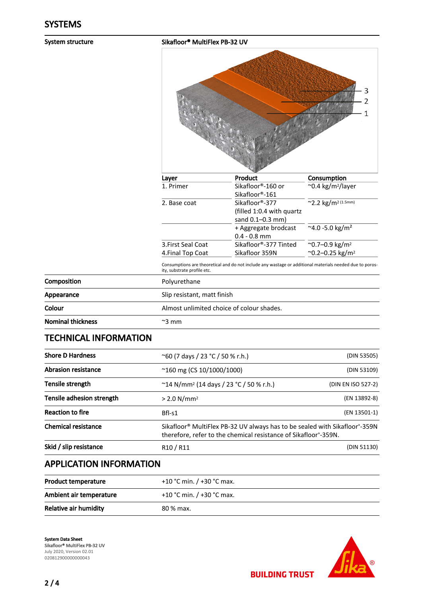System structure Sikafloor® MultiFlex PB-32 UV

|                          |                                         | 3<br>2<br>1                                                                                              |                                                                       |  |
|--------------------------|-----------------------------------------|----------------------------------------------------------------------------------------------------------|-----------------------------------------------------------------------|--|
|                          | Layer                                   | Product                                                                                                  | Consumption                                                           |  |
|                          | 1. Primer                               | Sikafloor®-160 or<br>Sikafloor®-161                                                                      | ~0.4 kg/m <sup>2</sup> /layer                                         |  |
|                          | 2. Base coat                            | Sikafloor®-377<br>(filled 1:0.4 with quartz<br>sand 0.1-0.3 mm)                                          | ~2.2 kg/m <sup>2 (1.5mm)</sup>                                        |  |
|                          |                                         | + Aggregate brodcast<br>$0.4 - 0.8$ mm                                                                   | $\frac{1}{2}$ -5.0 kg/m <sup>2</sup>                                  |  |
|                          | 3. First Seal Coat<br>4. Final Top Coat | Sikafloor®-377 Tinted<br>Sikafloor 359N                                                                  | $\overline{80.7 - 0.9 \text{ kg/m}^2}$<br>~0.2-0.25 kg/m <sup>2</sup> |  |
|                          | ity, substrate profile etc.             | Consumptions are theoretical and do not include any wastage or additional materials needed due to poros- |                                                                       |  |
| Composition              | Polyurethane                            |                                                                                                          |                                                                       |  |
| Appearance               |                                         | Slip resistant, matt finish                                                                              |                                                                       |  |
| Colour                   |                                         | Almost unlimited choice of colour shades.                                                                |                                                                       |  |
| <b>Nominal thickness</b> | $~\sim$ 3 mm                            |                                                                                                          |                                                                       |  |

### TECHNICAL INFORMATION

| <b>Shore D Hardness</b>    | (DIN 53505)<br>$^{\circ}$ 60 (7 days / 23 °C / 50 % r.h.)                                                                                                                           |                    |
|----------------------------|-------------------------------------------------------------------------------------------------------------------------------------------------------------------------------------|--------------------|
| <b>Abrasion resistance</b> | $^{\sim}$ 160 mg (CS 10/1000/1000)                                                                                                                                                  | (DIN 53109)        |
| Tensile strength           | $\degree$ 14 N/mm <sup>2</sup> (14 days / 23 $\degree$ C / 50 % r.h.)                                                                                                               | (DIN EN ISO 527-2) |
| Tensile adhesion strength  | $> 2.0$ N/mm <sup>2</sup>                                                                                                                                                           | (EN 13892-8)       |
| <b>Reaction to fire</b>    | Bfl-s1                                                                                                                                                                              | (EN 13501-1)       |
| <b>Chemical resistance</b> | Sikafloor <sup>®</sup> MultiFlex PB-32 UV always has to be sealed with Sikafloor <sup>®</sup> -359N<br>therefore, refer to the chemical resistance of Sikafloor <sup>®</sup> -359N. |                    |
| Skid / slip resistance     | R <sub>10</sub> / R <sub>11</sub>                                                                                                                                                   | (DIN 51130)        |

## APPLICATION INFORMATION

| <b>Product temperature</b> | +10 °C min. $/$ +30 °C max. |
|----------------------------|-----------------------------|
| Ambient air temperature    | +10 °C min. / +30 °C max.   |
| Relative air humidity      | 80 % max.                   |

System Data Sheet Sikafloor® MultiFlex PB-32 UV July 2020, Version 02.01 020812900000000043

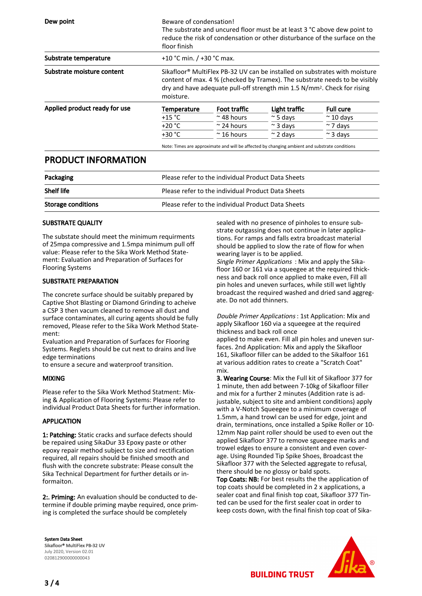| Dew point                     | floor finish                                                                                                                                                                                                                                                              | Beware of condensation!<br>The substrate and uncured floor must be at least 3 °C above dew point to<br>reduce the risk of condensation or other disturbance of the surface on the |                  |                   |
|-------------------------------|---------------------------------------------------------------------------------------------------------------------------------------------------------------------------------------------------------------------------------------------------------------------------|-----------------------------------------------------------------------------------------------------------------------------------------------------------------------------------|------------------|-------------------|
| Substrate temperature         | +10 °C min. $/$ +30 °C max.                                                                                                                                                                                                                                               |                                                                                                                                                                                   |                  |                   |
| Substrate moisture content    | Sikafloor <sup>®</sup> MultiFlex PB-32 UV can be installed on substrates with moisture<br>content of max. 4 % (checked by Tramex). The substrate needs to be visibly<br>dry and have adequate pull-off strength min 1.5 N/mm <sup>2</sup> . Check for rising<br>moisture. |                                                                                                                                                                                   |                  |                   |
| Applied product ready for use | Temperature                                                                                                                                                                                                                                                               | Foot traffic                                                                                                                                                                      | Light traffic    | <b>Full cure</b>  |
|                               | $+15 °C$                                                                                                                                                                                                                                                                  | $\approx$ 48 hours                                                                                                                                                                | $\approx$ 5 days | $\approx$ 10 days |
|                               | $+20 °C$                                                                                                                                                                                                                                                                  | $\approx$ 24 hours                                                                                                                                                                | $\approx$ 3 davs | $\sim$ 7 days     |
|                               | $+30 °C$                                                                                                                                                                                                                                                                  | $~\sim$ 16 hours                                                                                                                                                                  | $\approx$ 2 davs | $\approx$ 3 days  |

Note: Times are approximate and will be affected by changing ambient and substrate conditions

### PRODUCT INFORMATION

| Packaging                 | Please refer to the individual Product Data Sheets |
|---------------------------|----------------------------------------------------|
| <b>Shelf life</b>         | Please refer to the individual Product Data Sheets |
| <b>Storage conditions</b> | Please refer to the individual Product Data Sheets |

### SUBSTRATE QUALITY

The substate should meet the minimum requirments of 25mpa compressive and 1.5mpa minimum pull off value: Please refer to the Sika Work Method Statement: Evaluation and Preparation of Surfaces for Flooring Systems

#### SUBSTRATE PREPARATION

The concrete surface should be suitably prepared by Captive Shot Blasting or Diamond Grinding to acheive a CSP 3 then vacum cleaned to remove all dust and surface contaminates, all curing agents should be fully removed, Please refer to the Sika Work Method Statement:

Evaluation and Preparation of Surfaces for Flooring Systems. Reglets should be cut next to drains and live edge terminations

to ensure a secure and waterproof transition.

#### MIXING

Please refer to the Sika Work Method Statment: Mixing & Application of Flooring Systems: Please refer to individual Product Data Sheets for further information.

#### APPLICATION

1: Patching: Static cracks and surface defects should be repaired using SikaDur 33 Epoxy paste or other epoxy repair method subject to size and rectification required, all repairs should be finished smooth and flush with the concrete substrate: Please consult the Sika Technical Department for further details or informaiton.

2:. Priming: An evaluation should be conducted to determine if double priming maybe required, once priming is completed the surface should be completely

System Data Sheet Sikafloor® MultiFlex PB-32 UV July 2020, Version 02.01 020812900000000043

sealed with no presence of pinholes to ensure substrate outgassing does not continue in later applications. For ramps and falls extra broadcast material should be applied to slow the rate of flow for when wearing layer is to be applied.

Single Primer Applications : Mix and apply the Sikafloor 160 or 161 via a squeegee at the required thickness and back roll once applied to make even, Fill all pin holes and uneven surfaces, while still wet lightly broadcast the required washed and dried sand aggregate. Do not add thinners.

#### Double Primer Applications : 1st Application: Mix and apply Sikafloor 160 via a squeegee at the required thickness and back roll once

applied to make even. Fill all pin holes and uneven surfaces. 2nd Application: Mix and apply the Sikafloor 161, Sikafloor filler can be added to the Sikalfoor 161 at various addition rates to create a "Scratch Coat" mix.

3. Wearing Course: Mix the Full kit of Sikafloor 377 for 1 minute, then add between 7-10kg of Sikafloor filler and mix for a further 2 minutes (Addition rate is adjustable, subject to site and ambient conditions) apply with a V-Notch Squeegee to a minimum coverage of 1.5mm, a hand trowl can be used for edge, joint and drain, terminations, once installed a Spike Roller or 10- 12mm Nap paint roller should be used to even out the applied Sikafloor 377 to remove sgueegee marks and trowel edges to ensure a consistent and even coverage. Using Rounded Tip Spike Shoes, Broadcast the Sikafloor 377 with the Selected aggregate to refusal, there should be no glossy or bald spots.

Top Coats: NB: For best results the the application of top coats should be completed in 2 x applications, a sealer coat and final finish top coat, Sikafloor 377 Tinted can be used for the first sealer coat in order to keep costs down, with the final finish top coat of Sika-



**BUILDING TRUST**